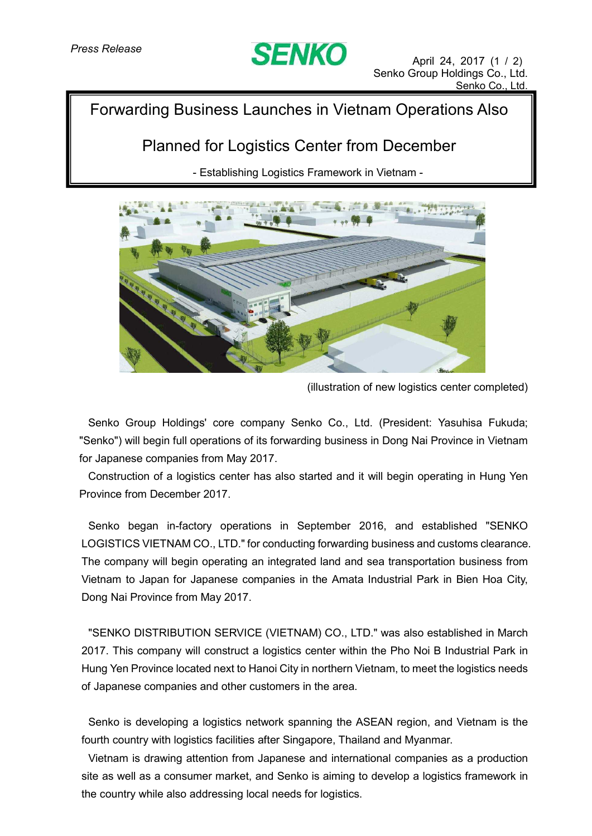

## Forwarding Business Launches in Vietnam Operations Also

# Planned for Logistics Center from December

- Establishing Logistics Framework in Vietnam -



(illustration of new logistics center completed)

Senko Group Holdings' core company Senko Co., Ltd. (President: Yasuhisa Fukuda; "Senko") will begin full operations of its forwarding business in Dong Nai Province in Vietnam for Japanese companies from May 2017.

Construction of a logistics center has also started and it will begin operating in Hung Yen Province from December 2017.

Senko began in-factory operations in September 2016, and established "SENKO LOGISTICS VIETNAM CO., LTD." for conducting forwarding business and customs clearance. The company will begin operating an integrated land and sea transportation business from Vietnam to Japan for Japanese companies in the Amata Industrial Park in Bien Hoa City, Dong Nai Province from May 2017.

"SENKO DISTRIBUTION SERVICE (VIETNAM) CO., LTD." was also established in March 2017. This company will construct a logistics center within the Pho Noi B Industrial Park in Hung Yen Province located next to Hanoi City in northern Vietnam, to meet the logistics needs of Japanese companies and other customers in the area.

Senko is developing a logistics network spanning the ASEAN region, and Vietnam is the fourth country with logistics facilities after Singapore, Thailand and Myanmar.

Vietnam is drawing attention from Japanese and international companies as a production site as well as a consumer market, and Senko is aiming to develop a logistics framework in the country while also addressing local needs for logistics.